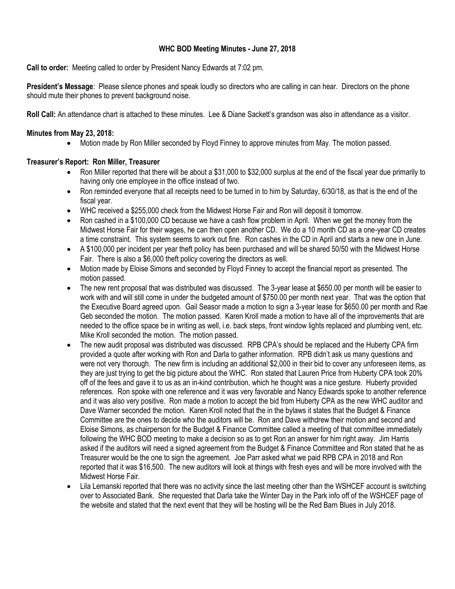# **WHC BOD Meeting Minutes - June 27, 2018**

**Call to order:** Meeting called to order by President Nancy Edwards at 7:02 pm.

**President's Message**: Please silence phones and speak loudly so directors who are calling in can hear. Directors on the phone should mute their phones to prevent background noise.

**Roll Call:** An attendance chart is attached to these minutes. Lee & Diane Sackett's grandson was also in attendance as a visitor.

## **Minutes from May 23, 2018:**

Motion made by Ron Miller seconded by Floyd Finney to approve minutes from May. The motion passed.

## **Treasurer's Report: Ron Miller, Treasurer**

- Ron Miller reported that there will be about a \$31,000 to \$32,000 surplus at the end of the fiscal year due primarily to having only one employee in the office instead of two.
- Ron reminded everyone that all receipts need to be turned in to him by Saturday, 6/30/18, as that is the end of the fiscal year.
- WHC received a \$255,000 check from the Midwest Horse Fair and Ron will deposit it tomorrow.
- Ron cashed in a \$100,000 CD because we have a cash flow problem in April. When we get the money from the Midwest Horse Fair for their wages, he can then open another CD. We do a 10 month CD as a one-year CD creates a time constraint. This system seems to work out fine. Ron cashes in the CD in April and starts a new one in June.
- A \$100,000 per incident per year theft policy has been purchased and will be shared 50/50 with the Midwest Horse Fair. There is also a \$6,000 theft policy covering the directors as well.
- Motion made by Eloise Simons and seconded by Floyd Finney to accept the financial report as presented. The motion passed.
- The new rent proposal that was distributed was discussed. The 3-year lease at \$650.00 per month will be easier to work with and will still come in under the budgeted amount of \$750.00 per month next year. That was the option that the Executive Board agreed upon. Gail Seasor made a motion to sign a 3-year lease for \$650.00 per month and Rae Geb seconded the motion. The motion passed. Karen Kroll made a motion to have all of the improvements that are needed to the office space be in writing as well, i.e. back steps, front window lights replaced and plumbing vent, etc. Mike Kroll seconded the motion. The motion passed.
- The new audit proposal was distributed was discussed. RPB CPA's should be replaced and the Huberty CPA firm provided a quote after working with Ron and Darla to gather information. RPB didn't ask us many questions and were not very thorough. The new firm is including an additional \$2,000 in their bid to cover any unforeseen items, as they are just trying to get the big picture about the WHC. Ron stated that Lauren Price from Huberty CPA took 20% off of the fees and gave it to us as an in-kind contribution, which he thought was a nice gesture. Huberty provided references. Ron spoke with one reference and it was very favorable and Nancy Edwards spoke to another reference and it was also very positive. Ron made a motion to accept the bid from Huberty CPA as the new WHC auditor and Dave Warner seconded the motion. Karen Kroll noted that the in the bylaws it states that the Budget & Finance Committee are the ones to decide who the auditors will be. Ron and Dave withdrew their motion and second and Eloise Simons, as chairperson for the Budget & Finance Committee called a meeting of that committee immediately following the WHC BOD meeting to make a decision so as to get Ron an answer for him right away. Jim Harris asked if the auditors will need a signed agreement from the Budget & Finance Committee and Ron stated that he as Treasurer would be the one to sign the agreement. Joe Parr asked what we paid RPB CPA in 2018 and Ron reported that it was \$16,500. The new auditors will look at things with fresh eyes and will be more involved with the Midwest Horse Fair.
- Lila Lemanski reported that there was no activity since the last meeting other than the WSHCEF account is switching over to Associated Bank. She requested that Darla take the Winter Day in the Park info off of the WSHCEF page of the website and stated that the next event that they will be hosting will be the Red Barn Blues in July 2018.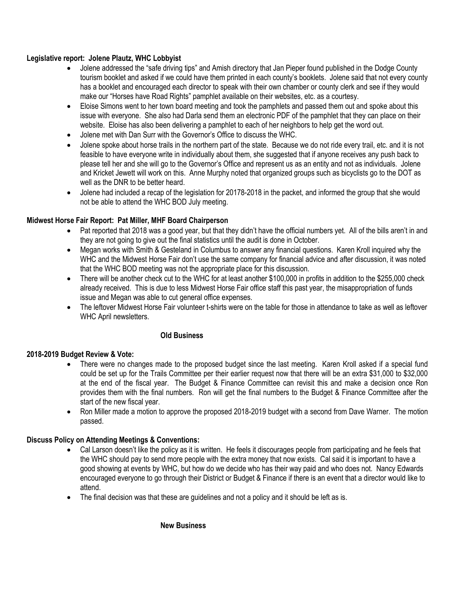# **Legislative report: Jolene Plautz, WHC Lobbyist**

- Jolene addressed the "safe driving tips" and Amish directory that Jan Pieper found published in the Dodge County tourism booklet and asked if we could have them printed in each county's booklets. Jolene said that not every county has a booklet and encouraged each director to speak with their own chamber or county clerk and see if they would make our "Horses have Road Rights" pamphlet available on their websites, etc. as a courtesy.
- Eloise Simons went to her town board meeting and took the pamphlets and passed them out and spoke about this issue with everyone. She also had Darla send them an electronic PDF of the pamphlet that they can place on their website. Eloise has also been delivering a pamphlet to each of her neighbors to help get the word out.
- Jolene met with Dan Surr with the Governor's Office to discuss the WHC.
- Jolene spoke about horse trails in the northern part of the state. Because we do not ride every trail, etc. and it is not feasible to have everyone write in individually about them, she suggested that if anyone receives any push back to please tell her and she will go to the Governor's Office and represent us as an entity and not as individuals. Jolene and Kricket Jewett will work on this. Anne Murphy noted that organized groups such as bicyclists go to the DOT as well as the DNR to be better heard.
- Jolene had included a recap of the legislation for 20178-2018 in the packet, and informed the group that she would not be able to attend the WHC BOD July meeting.

# **Midwest Horse Fair Report: Pat Miller, MHF Board Chairperson**

- Pat reported that 2018 was a good year, but that they didn't have the official numbers yet. All of the bills aren't in and they are not going to give out the final statistics until the audit is done in October.
- Megan works with Smith & Gesteland in Columbus to answer any financial questions. Karen Kroll inquired why the WHC and the Midwest Horse Fair don't use the same company for financial advice and after discussion, it was noted that the WHC BOD meeting was not the appropriate place for this discussion.
- There will be another check cut to the WHC for at least another \$100,000 in profits in addition to the \$255,000 check already received. This is due to less Midwest Horse Fair office staff this past year, the misappropriation of funds issue and Megan was able to cut general office expenses.
- The leftover Midwest Horse Fair volunteer t-shirts were on the table for those in attendance to take as well as leftover WHC April newsletters.

# **Old Business**

### **2018-2019 Budget Review & Vote:**

- There were no changes made to the proposed budget since the last meeting. Karen Kroll asked if a special fund could be set up for the Trails Committee per their earlier request now that there will be an extra \$31,000 to \$32,000 at the end of the fiscal year. The Budget & Finance Committee can revisit this and make a decision once Ron provides them with the final numbers. Ron will get the final numbers to the Budget & Finance Committee after the start of the new fiscal year.
- Ron Miller made a motion to approve the proposed 2018-2019 budget with a second from Dave Warner. The motion passed.

### **Discuss Policy on Attending Meetings & Conventions:**

- Cal Larson doesn't like the policy as it is written. He feels it discourages people from participating and he feels that the WHC should pay to send more people with the extra money that now exists. Cal said it is important to have a good showing at events by WHC, but how do we decide who has their way paid and who does not. Nancy Edwards encouraged everyone to go through their District or Budget & Finance if there is an event that a director would like to attend.
- The final decision was that these are guidelines and not a policy and it should be left as is.

# **New Business**